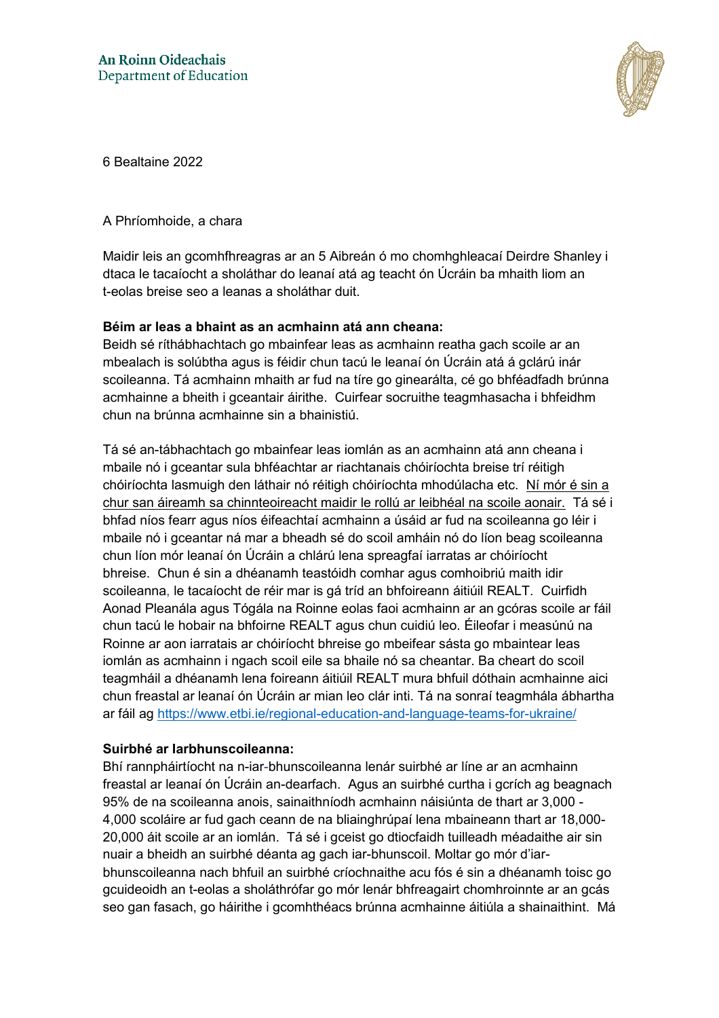

6 Bealtaine 2022

#### A Phríomhoide, a chara

Maidir leis an gcomhfhreagras ar an 5 Aibreán ó mo chomhghleacaí Deirdre Shanley i dtaca le tacaíocht a sholáthar do leanaí atá ag teacht ón Úcráin ba mhaith liom an t-eolas breise seo a leanas a sholáthar duit.

### **Béim ar leas a bhaint as an acmhainn atá ann cheana:**

Beidh sé ríthábhachtach go mbainfear leas as acmhainn reatha gach scoile ar an mbealach is solúbtha agus is féidir chun tacú le leanaí ón Úcráin atá á gclárú inár scoileanna. Tá acmhainn mhaith ar fud na tíre go ginearálta, cé go bhféadfadh brúnna acmhainne a bheith i gceantair áirithe. Cuirfear socruithe teagmhasacha i bhfeidhm chun na brúnna acmhainne sin a bhainistiú.

Tá sé an-tábhachtach go mbainfear leas iomlán as an acmhainn atá ann cheana i mbaile nó i gceantar sula bhféachtar ar riachtanais chóiríochta breise trí réitigh chóiríochta lasmuigh den láthair nó réitigh chóiríochta mhodúlacha etc. Ní mór é sin a chur san áireamh sa chinnteoireacht maidir le rollú ar leibhéal na scoile aonair. Tá sé i bhfad níos fearr agus níos éifeachtaí acmhainn a úsáid ar fud na scoileanna go léir i mbaile nó i gceantar ná mar a bheadh sé do scoil amháin nó do líon beag scoileanna chun líon mór leanaí ón Úcráin a chlárú lena spreagfaí iarratas ar chóiríocht bhreise. Chun é sin a dhéanamh teastóidh comhar agus comhoibriú maith idir scoileanna, le tacaíocht de réir mar is gá tríd an bhfoireann áitiúil REALT. Cuirfidh Aonad Pleanála agus Tógála na Roinne eolas faoi acmhainn ar an gcóras scoile ar fáil chun tacú le hobair na bhfoirne REALT agus chun cuidiú leo. Éileofar i measúnú na Roinne ar aon iarratais ar chóiríocht bhreise go mbeifear sásta go mbaintear leas iomlán as acmhainn i ngach scoil eile sa bhaile nó sa cheantar. Ba cheart do scoil teagmháil a dhéanamh lena foireann áitiúil REALT mura bhfuil dóthain acmhainne aici chun freastal ar leanaí ón Úcráin ar mian leo clár inti. Tá na sonraí teagmhála ábhartha ar fáil ag<https://www.etbi.ie/regional-education-and-language-teams-for-ukraine/>

#### **Suirbhé ar Iarbhunscoileanna:**

Bhí rannpháirtíocht na n-iar-bhunscoileanna lenár suirbhé ar líne ar an acmhainn freastal ar leanaí ón Úcráin an-dearfach. Agus an suirbhé curtha i gcrích ag beagnach 95% de na scoileanna anois, sainaithníodh acmhainn náisiúnta de thart ar 3,000 - 4,000 scoláire ar fud gach ceann de na bliainghrúpaí lena mbaineann thart ar 18,000- 20,000 áit scoile ar an iomlán. Tá sé i gceist go dtiocfaidh tuilleadh méadaithe air sin nuair a bheidh an suirbhé déanta ag gach iar-bhunscoil. Moltar go mór d'iarbhunscoileanna nach bhfuil an suirbhé críochnaithe acu fós é sin a dhéanamh toisc go gcuideoidh an t-eolas a sholáthrófar go mór lenár bhfreagairt chomhroinnte ar an gcás seo gan fasach, go háirithe i gcomhthéacs brúnna acmhainne áitiúla a shainaithint. Má